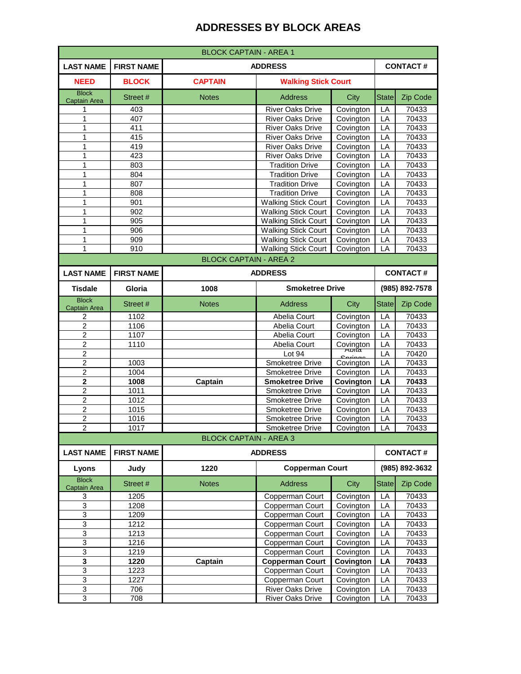| <b>BLOCK CAPTAIN - AREA 1</b>                                                                               |                   |                               |                                                          |                        |                    |                 |
|-------------------------------------------------------------------------------------------------------------|-------------------|-------------------------------|----------------------------------------------------------|------------------------|--------------------|-----------------|
| <b>LAST NAME</b>                                                                                            | <b>FIRST NAME</b> |                               | <b>ADDRESS</b><br><b>CONTACT#</b>                        |                        |                    |                 |
| <b>NEED</b>                                                                                                 | <b>BLOCK</b>      | <b>CAPTAIN</b>                | <b>Walking Stick Court</b>                               |                        |                    |                 |
| <b>Block</b><br>Captain Area                                                                                | Street #          | <b>Notes</b>                  | <b>Address</b>                                           | City                   | <b>State</b>       | Zip Code        |
| 1                                                                                                           | 403               |                               | <b>River Oaks Drive</b>                                  | Covington              | LA                 | 70433           |
| 1                                                                                                           | 407               |                               | <b>River Oaks Drive</b>                                  | Covington              | LA                 | 70433           |
| 1                                                                                                           | 411               |                               | <b>River Oaks Drive</b>                                  | Covington              | LA                 | 70433           |
| 1                                                                                                           | 415               |                               | <b>River Oaks Drive</b>                                  | Covington              | LA                 | 70433           |
| 1                                                                                                           | 419               |                               | <b>River Oaks Drive</b>                                  | Covington              | LA                 | 70433           |
| 1                                                                                                           | 423               |                               | <b>River Oaks Drive</b>                                  | Covington              | LA                 | 70433           |
| 1                                                                                                           | 803               |                               | <b>Tradition Drive</b>                                   | Covington              | LA                 | 70433           |
| 1                                                                                                           | 804               |                               | <b>Tradition Drive</b>                                   | Covington              | LA                 | 70433           |
| 1<br>1                                                                                                      | 807               |                               | <b>Tradition Drive</b>                                   | Covington              | LA                 | 70433<br>70433  |
|                                                                                                             | 808               |                               | <b>Tradition Drive</b>                                   | Covington              | LA                 |                 |
| 1                                                                                                           | 901               |                               | <b>Walking Stick Court</b><br><b>Walking Stick Court</b> | Covington              | LA                 | 70433<br>70433  |
| 1<br>1                                                                                                      | 902<br>905        |                               | <b>Walking Stick Court</b>                               | Covington              | LA<br>LA           | 70433           |
| 1                                                                                                           | 906               |                               | <b>Walking Stick Court</b>                               | Covington<br>Covington | LA                 | 70433           |
| 1                                                                                                           | 909               |                               | <b>Walking Stick Court</b>                               | Covington              | LA                 | 70433           |
| 1                                                                                                           | 910               |                               | <b>Walking Stick Court</b>                               | Covington              | LA                 | 70433           |
|                                                                                                             |                   |                               |                                                          |                        |                    |                 |
| <b>BLOCK CAPTAIN - AREA 2</b><br><b>CONTACT#</b><br><b>FIRST NAME</b><br><b>ADDRESS</b><br><b>LAST NAME</b> |                   |                               |                                                          |                        |                    |                 |
| <b>Tisdale</b>                                                                                              | Gloria            | 1008                          | <b>Smoketree Drive</b>                                   |                        | (985) 892-7578     |                 |
| <b>Block</b>                                                                                                |                   |                               |                                                          |                        |                    |                 |
| <b>Captain Area</b>                                                                                         | Street #          | <b>Notes</b>                  | <b>Address</b>                                           | City                   | <b>State</b><br>LA | Zip Code        |
| 2<br>$\overline{c}$                                                                                         | 1102<br>1106      |                               | Abelia Court<br>Abelia Court                             | Covington              | LA                 | 70433<br>70433  |
| 2                                                                                                           | 1107              |                               | Abelia Court                                             | Covington<br>Covington | LA                 | 70433           |
| 2                                                                                                           | 1110              |                               | Abelia Court                                             |                        | LA                 | 70433           |
| $\overline{\mathbf{c}}$                                                                                     |                   |                               | Lot 94                                                   | Covington              | LA                 | 70420           |
| 2                                                                                                           | 1003              |                               | Smoketree Drive                                          | Covington              | LA                 | 70433           |
| $\overline{2}$                                                                                              | 1004              |                               | <b>Smoketree Drive</b>                                   | Covington              | LA                 | 70433           |
| $\mathbf{2}$                                                                                                | 1008              | Captain                       | <b>Smoketree Drive</b>                                   | Covington              | LA                 | 70433           |
| $\overline{c}$                                                                                              | 1011              |                               | Smoketree Drive                                          | Covington              | LA                 | 70433           |
| $\overline{2}$                                                                                              | 1012              |                               | Smoketree Drive                                          | Covington              | LA                 | 70433           |
| $\overline{c}$                                                                                              | 1015              |                               | Smoketree Drive                                          | Covington              | LA                 | 70433           |
| $\overline{2}$                                                                                              | 1016              |                               | <b>Smoketree Drive</b>                                   | Covington              | LA                 | 70433           |
| $\overline{c}$                                                                                              | 1017              |                               | Smoketree Drive Covington                                |                        | LA                 | 70433           |
|                                                                                                             |                   | <b>BLOCK CAPTAIN - AREA 3</b> |                                                          |                        |                    |                 |
| <b>LAST NAME</b>                                                                                            | <b>FIRST NAME</b> |                               | <b>ADDRESS</b>                                           |                        |                    | <b>CONTACT#</b> |
| Lyons                                                                                                       | Judy              | 1220                          | <b>Copperman Court</b>                                   |                        |                    | (985) 892-3632  |
| <b>Block</b><br>Captain Area                                                                                | Street #          | <b>Notes</b>                  | <b>Address</b>                                           | City                   | <b>State</b>       | Zip Code        |
| 3                                                                                                           | 1205              |                               | Copperman Court                                          | Covington              | LA                 | 70433           |
| 3                                                                                                           | 1208              |                               | Copperman Court                                          | Covington              | LA                 | 70433           |
| 3                                                                                                           | 1209              |                               | Copperman Court                                          | Covington              | LA                 | 70433           |
| $\overline{3}$                                                                                              | 1212              |                               | Copperman Court                                          | Covington              | LA                 | 70433           |
| $\ensuremath{\mathsf{3}}$                                                                                   | 1213              |                               | Copperman Court                                          | Covington              | LA                 | 70433           |
| 3                                                                                                           | 1216              |                               | Copperman Court                                          | Covington              | LA                 | 70433           |
| 3                                                                                                           | 1219              |                               | Copperman Court                                          | Covington              | LA                 | 70433           |
| 3                                                                                                           | 1220              | Captain                       | <b>Copperman Court</b>                                   | Covington              | LA                 | 70433           |
| 3                                                                                                           | 1223              |                               | Copperman Court                                          | Covington              | LA                 | 70433           |
| $\ensuremath{\mathsf{3}}$                                                                                   | 1227              |                               | Copperman Court                                          | Covington              | LA                 | 70433           |
| 3                                                                                                           | 706               |                               | <b>River Oaks Drive</b>                                  | Covington              | LA                 | 70433           |
| $\ensuremath{\mathsf{3}}$                                                                                   | 708               |                               | River Oaks Drive                                         | Covington              | LA                 | 70433           |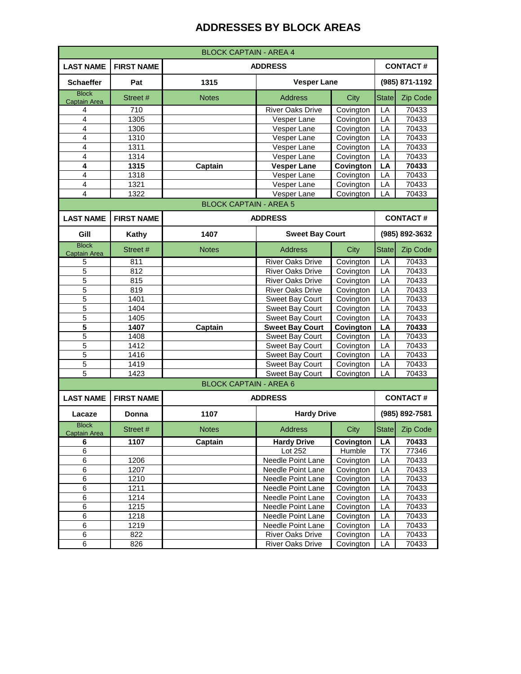| <b>BLOCK CAPTAIN - AREA 4</b>       |                   |                               |                                      |                   |              |                   |  |
|-------------------------------------|-------------------|-------------------------------|--------------------------------------|-------------------|--------------|-------------------|--|
| <b>LAST NAME</b>                    | <b>FIRST NAME</b> | <b>ADDRESS</b>                |                                      |                   |              | <b>CONTACT#</b>   |  |
| <b>Schaeffer</b>                    | Pat               | 1315<br><b>Vesper Lane</b>    |                                      |                   |              | (985) 871-1192    |  |
| <b>Block</b><br><b>Captain Area</b> | Street #          | <b>Notes</b>                  | <b>Address</b>                       | City              | <b>State</b> | Zip Code          |  |
| 4                                   | 710               |                               | <b>River Oaks Drive</b>              | Covington         | LА           | 70433             |  |
| 4                                   | 1305              |                               | Vesper Lane                          | Covington         | LA           | 70433             |  |
| 4                                   | 1306              |                               | Vesper Lane                          | Covington         | LA           | 70433             |  |
| 4                                   | 1310              |                               | Vesper Lane                          | Covington         | LA           | 70433             |  |
| $\overline{4}$                      | 1311              |                               | Vesper Lane                          | Covington         | LA           | 70433             |  |
| $\overline{4}$                      | 1314              |                               | Vesper Lane                          | Covington         | LA           | 70433             |  |
| 4                                   | 1315              | Captain                       | <b>Vesper Lane</b>                   | Covington         | LA           | 70433             |  |
| $\overline{4}$                      | 1318              |                               | Vesper Lane                          | Covington         | LA           | 70433             |  |
| $\overline{\mathbf{4}}$             | 1321              |                               | Vesper Lane                          | Covington         | LA           | 70433             |  |
| $\overline{4}$                      | 1322              |                               | Vesper Lane                          | Covington         | LA           | 70433             |  |
|                                     |                   | <b>BLOCK CAPTAIN - AREA 5</b> |                                      |                   |              |                   |  |
| <b>LAST NAME</b>                    | <b>FIRST NAME</b> |                               | <b>ADDRESS</b>                       |                   |              | <b>CONTACT#</b>   |  |
| Gill                                | Kathy             | 1407                          | <b>Sweet Bay Court</b>               |                   |              | (985) 892-3632    |  |
| <b>Block</b><br>Captain Area        | Street #          | <b>Notes</b>                  | <b>Address</b>                       | City              | <b>State</b> | Zip Code          |  |
| 5                                   | 811               |                               | <b>River Oaks Drive</b>              | Covington         | LA           | 70433             |  |
| 5                                   | 812               |                               | <b>River Oaks Drive</b>              | Covington         | LA           | 70433             |  |
| 5                                   | 815               |                               | <b>River Oaks Drive</b>              | Covington         | LA           | 70433             |  |
| 5                                   | 819               |                               | <b>River Oaks Drive</b>              | Covington         | LA           | 70433             |  |
| 5                                   | 1401              |                               | <b>Sweet Bay Court</b>               | Covington         | LA           | 70433             |  |
| 5                                   | 1404              |                               | Sweet Bay Court                      | Covington         | LA           | 70433             |  |
| 5                                   | 1405              |                               | Sweet Bay Court                      | Covington         | LA           | 70433             |  |
| 5                                   | 1407              | Captain                       | <b>Sweet Bay Court</b>               | Covington         | LA           | 70433             |  |
| $\overline{5}$                      | 1408              |                               | Sweet Bay Court                      | Covington         | LA           | 70433             |  |
| 5                                   | 1412              |                               | Sweet Bay Court                      | Covington         | LA           | 70433             |  |
| 5                                   | 1416              |                               | Sweet Bay Court                      | Covington         | LA           | 70433             |  |
| 5                                   | 1419              |                               | Sweet Bay Court                      | Covington         | LA           | 70433             |  |
| 5                                   | 1423              |                               | <b>Sweet Bay Court</b>               | Covington         | LA           | 70433             |  |
|                                     |                   | <b>BLOCK CAPTAIN - AREA 6</b> |                                      |                   |              |                   |  |
| <b>LAST NAME</b>                    | <b>FIRST NAME</b> |                               | <b>ADDRESS</b>                       |                   |              | <b>CONTACT#</b>   |  |
| Lacaze<br><b>Block</b>              | Donna             | 1107                          | <b>Hardy Drive</b>                   |                   |              | (985) 892-7581    |  |
| Captain Area<br>6                   | Street #<br>1107  | <b>Notes</b><br>Captain       | <b>Address</b><br><b>Hardy Drive</b> | City<br>Covington | State<br>LA  | Zip Code<br>70433 |  |
| 6                                   |                   |                               | Lot 252                              | Humble            | <b>TX</b>    | 77346             |  |
| 6                                   | 1206              |                               | Needle Point Lane                    | Covington         | LA           | 70433             |  |
| 6                                   | 1207              |                               | Needle Point Lane                    | Covington         | LA           | 70433             |  |
| $\,6$                               | 1210              |                               | Needle Point Lane                    | Covington         | LA           | 70433             |  |
| 6                                   | 1211              |                               | Needle Point Lane                    | Covington         | LA           | 70433             |  |
| $\,6$                               | 1214              |                               | Needle Point Lane                    | Covington         | LA           | 70433             |  |
| 6                                   | 1215              |                               | Needle Point Lane                    | Covington         | LA           | 70433             |  |
| 6                                   | 1218              |                               | Needle Point Lane                    | Covington         | LA           | 70433             |  |
| $\,6$                               | 1219              |                               | Needle Point Lane                    | Covington         | LA           | 70433             |  |
| $\overline{6}$                      | 822               |                               | River Oaks Drive                     | Covington         | LA           | 70433             |  |
| $\,6\,$                             | 826               |                               | River Oaks Drive                     | Covington         | LA           | 70433             |  |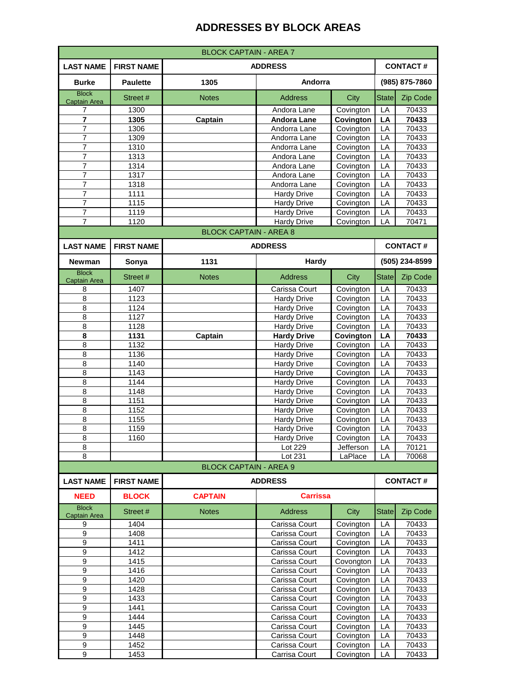| <b>BLOCK CAPTAIN - AREA 7</b>       |                                                        |                               |                                          |                        |              |                 |  |
|-------------------------------------|--------------------------------------------------------|-------------------------------|------------------------------------------|------------------------|--------------|-----------------|--|
| <b>LAST NAME</b>                    | <b>CONTACT#</b><br><b>ADDRESS</b><br><b>FIRST NAME</b> |                               |                                          |                        |              |                 |  |
| <b>Burke</b>                        | <b>Paulette</b>                                        | 1305                          | Andorra                                  |                        |              | (985) 875-7860  |  |
| <b>Block</b>                        | Street #                                               | <b>Notes</b>                  | <b>Address</b>                           | City                   | <b>State</b> | Zip Code        |  |
| <b>Captain Area</b><br>7            | 1300                                                   |                               | Andora Lane                              | Covington              | LA           | 70433           |  |
| $\overline{\mathbf{r}}$             | 1305                                                   | Captain                       | <b>Andora Lane</b>                       | Covington              | LA           | 70433           |  |
| 7                                   | 1306                                                   |                               | Andorra Lane                             | Covington              | LA           | 70433           |  |
| $\overline{7}$                      | 1309                                                   |                               | Andorra Lane                             | Covington              | LA           | 70433           |  |
| $\overline{7}$                      | 1310                                                   |                               | Andorra Lane                             | Covington              | LA           | 70433           |  |
| 7                                   | 1313                                                   |                               | Andora Lane                              | Covington              | LA           | 70433           |  |
| $\overline{7}$                      | 1314                                                   |                               | Andora Lane                              | Covington              | LA           | 70433           |  |
| 7<br>7                              | 1317<br>1318                                           |                               | Andora Lane<br>Andorra Lane              | Covington<br>Covington | LA<br>LA     | 70433<br>70433  |  |
| 7                                   | 1111                                                   |                               | <b>Hardy Drive</b>                       | Covington              | LA           | 70433           |  |
| $\overline{7}$                      | 1115                                                   |                               | <b>Hardy Drive</b>                       | Covington              | LA           | 70433           |  |
| $\overline{7}$                      | 1119                                                   |                               | <b>Hardy Drive</b>                       | Covington              | LA           | 70433           |  |
| $\overline{7}$                      | 1120                                                   |                               | <b>Hardy Drive</b>                       | Covington              | LA           | 70471           |  |
|                                     |                                                        | <b>BLOCK CAPTAIN - AREA 8</b> |                                          |                        |              |                 |  |
| <b>LAST NAME</b>                    | <b>FIRST NAME</b>                                      |                               | <b>ADDRESS</b>                           |                        |              | <b>CONTACT#</b> |  |
| <b>Newman</b>                       | Sonya                                                  | 1131                          | Hardy                                    |                        |              | (505) 234-8599  |  |
| <b>Block</b><br><b>Captain Area</b> | Street #                                               | <b>Notes</b>                  | <b>Address</b>                           | City                   | <b>State</b> | Zip Code        |  |
| 8                                   | 1407                                                   |                               | Carissa Court                            | Covington              | LA           | 70433           |  |
| 8                                   | 1123                                                   |                               | <b>Hardy Drive</b>                       | Covington              | LA           | 70433           |  |
| 8                                   | 1124                                                   |                               | <b>Hardy Drive</b>                       | Covington              | LA           | 70433           |  |
| 8                                   | 1127                                                   |                               | <b>Hardy Drive</b>                       | Covington              | LA           | 70433           |  |
| 8<br>8                              | 1128<br>1131                                           |                               | <b>Hardy Drive</b>                       | Covington              | LA           | 70433<br>70433  |  |
| 8                                   | 1132                                                   | Captain                       | <b>Hardy Drive</b><br><b>Hardy Drive</b> | Covington<br>Covington | LA<br>LA     | 70433           |  |
| 8                                   | 1136                                                   |                               | <b>Hardy Drive</b>                       | Covington              | LA           | 70433           |  |
| 8                                   | 1140                                                   |                               | <b>Hardy Drive</b>                       | Covington              | LA           | 70433           |  |
| 8                                   | 1143                                                   |                               | <b>Hardy Drive</b>                       | Covington              | LA           | 70433           |  |
| 8                                   | 1144                                                   |                               | <b>Hardy Drive</b>                       | Covington              | LA           | 70433           |  |
| 8                                   | 1148                                                   |                               | <b>Hardy Drive</b>                       | Covington              | LA           | 70433           |  |
| 8                                   | 1151                                                   |                               | <b>Hardy Drive</b>                       | Covington              | LA           | 70433           |  |
| 8<br>8                              | 1152                                                   |                               | Hardy Drive<br><b>Hardy Drive</b>        | Covington              | LA<br>LA     | 70433<br>70433  |  |
| 8                                   | 1155<br>1159                                           |                               | <b>Hardy Drive</b>                       | Covington<br>Covington | LA           | 70433           |  |
| 8                                   | 1160                                                   |                               | <b>Hardy Drive</b>                       | Covington              | LA           | 70433           |  |
| 8                                   |                                                        |                               | Lot 229                                  | Jefferson              | LA           | 70121           |  |
| 8                                   |                                                        |                               | Lot 231                                  | LaPlace                | LA           | 70068           |  |
|                                     |                                                        | <b>BLOCK CAPTAIN - AREA 9</b> |                                          |                        |              |                 |  |
| <b>LAST NAME</b>                    | <b>FIRST NAME</b>                                      |                               | <b>ADDRESS</b>                           |                        |              | <b>CONTACT#</b> |  |
| <b>NEED</b>                         | <b>BLOCK</b>                                           | <b>CAPTAIN</b>                | <b>Carrissa</b>                          |                        |              |                 |  |
| <b>Block</b><br><b>Captain Area</b> | Street #                                               | <b>Notes</b>                  | <b>Address</b>                           | City                   | <b>State</b> | Zip Code        |  |
| 9                                   | 1404                                                   |                               | Carissa Court                            | Covington              | LA           | 70433           |  |
| 9                                   | 1408                                                   |                               | Carissa Court                            | Covington              | LA           | 70433           |  |
| 9                                   | 1411                                                   |                               | Carissa Court                            | Covington              | LA           | 70433           |  |
| $\boldsymbol{9}$                    | 1412                                                   |                               | Carissa Court                            | Covington              | LA           | 70433           |  |
| 9<br>$\overline{9}$                 | 1415<br>1416                                           |                               | Carissa Court<br>Carissa Court           | Covongton<br>Covington | LA<br>LA     | 70433<br>70433  |  |
| 9                                   | 1420                                                   |                               | Carissa Court                            | Covington              | LA           | 70433           |  |
| 9                                   | 1428                                                   |                               | Carissa Court                            | Covington              | LA           | 70433           |  |
| $\boldsymbol{9}$                    | 1433                                                   |                               | Carissa Court                            | Covington              | LA           | 70433           |  |
| 9                                   | 1441                                                   |                               | Carissa Court                            | Covington              | LA           | 70433           |  |
| $\overline{9}$                      | 1444                                                   |                               | Carissa Court                            | Covington              | LA           | 70433           |  |
| $\boldsymbol{9}$                    | 1445                                                   |                               | Carissa Court                            | Covington              | LA           | 70433           |  |
| 9                                   | 1448                                                   |                               | Carissa Court                            | Covington              | LA           | 70433           |  |
| $\boldsymbol{9}$<br>9               | 1452<br>1453                                           |                               | Carissa Court<br>Carrisa Court           | Covington<br>Covington | LA<br>LA     | 70433<br>70433  |  |
|                                     |                                                        |                               |                                          |                        |              |                 |  |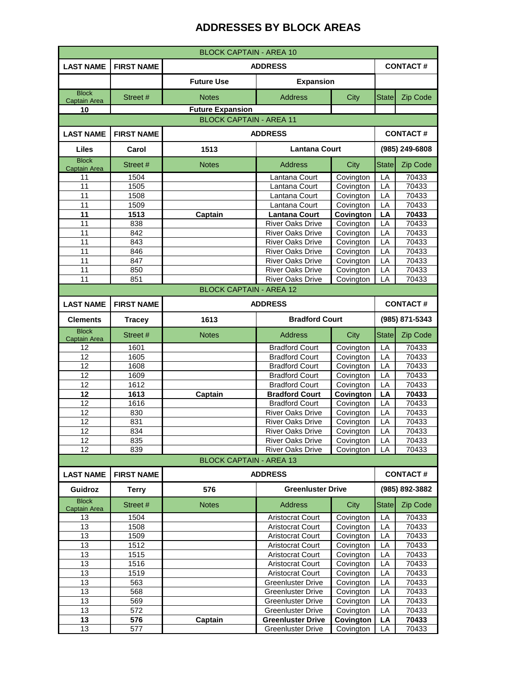| <b>BLOCK CAPTAIN - AREA 10</b>      |                                     |                                |                                                      |                        |                 |                 |  |
|-------------------------------------|-------------------------------------|--------------------------------|------------------------------------------------------|------------------------|-----------------|-----------------|--|
| <b>LAST NAME</b>                    | <b>FIRST NAME</b>                   |                                | <b>ADDRESS</b><br><b>CONTACT#</b>                    |                        |                 |                 |  |
|                                     |                                     | <b>Future Use</b>              | <b>Expansion</b>                                     |                        |                 |                 |  |
| <b>Block</b><br><b>Captain Area</b> | Street #                            | <b>Notes</b>                   | <b>Address</b>                                       | City                   | <b>State</b>    | Zip Code        |  |
| 10                                  |                                     | <b>Future Expansion</b>        |                                                      |                        |                 |                 |  |
| <b>BLOCK CAPTAIN - AREA 11</b>      |                                     |                                |                                                      |                        |                 |                 |  |
| <b>LAST NAME</b>                    | <b>FIRST NAME</b><br><b>ADDRESS</b> |                                |                                                      |                        |                 | <b>CONTACT#</b> |  |
|                                     |                                     |                                |                                                      |                        | (985) 249-6808  |                 |  |
| Liles<br><b>Block</b>               | Carol                               | 1513                           | <b>Lantana Court</b>                                 |                        |                 |                 |  |
| <b>Captain Area</b>                 | Street #                            | <b>Notes</b>                   | <b>Address</b>                                       | City                   | <b>State</b>    | Zip Code        |  |
| 11                                  | 1504                                |                                | Lantana Court                                        | Covington              | LA              | 70433           |  |
| 11                                  | 1505                                |                                | Lantana Court                                        | Covington              | LA              | 70433           |  |
| 11                                  | 1508                                |                                | Lantana Court                                        | Covington              | LA              | 70433           |  |
| 11                                  | 1509                                |                                | Lantana Court                                        | Covington              | LA              | 70433           |  |
| 11<br>11                            | 1513<br>838                         | Captain                        | <b>Lantana Court</b><br><b>River Oaks Drive</b>      | Covington              | LA<br>LA        | 70433<br>70433  |  |
| 11                                  | 842                                 |                                | <b>River Oaks Drive</b>                              | Covington<br>Covington | LA              | 70433           |  |
| 11                                  | 843                                 |                                | <b>River Oaks Drive</b>                              | Covington              | LA              | 70433           |  |
| 11                                  | 846                                 |                                | <b>River Oaks Drive</b>                              | Covington              | LA              | 70433           |  |
| 11                                  | 847                                 |                                | <b>River Oaks Drive</b>                              | Covington              | LA              | 70433           |  |
| 11                                  | 850                                 |                                | <b>River Oaks Drive</b>                              | Covington              | LA              | 70433           |  |
| 11                                  | 851                                 |                                | <b>River Oaks Drive</b>                              | Covington              | LA              | 70433           |  |
| <b>BLOCK CAPTAIN - AREA 12</b>      |                                     |                                |                                                      |                        |                 |                 |  |
| <b>LAST NAME</b>                    | <b>FIRST NAME</b>                   |                                | <b>ADDRESS</b>                                       |                        |                 | <b>CONTACT#</b> |  |
| <b>Clements</b>                     | <b>Tracey</b>                       | 1613                           | <b>Bradford Court</b>                                |                        | (985) 871-5343  |                 |  |
| <b>Block</b>                        | Street #                            | <b>Notes</b>                   | <b>Address</b>                                       | City                   | <b>State</b>    | Zip Code        |  |
| Captain Area<br>12                  | 1601                                |                                | <b>Bradford Court</b>                                | Covington              | LA              | 70433           |  |
| 12                                  | 1605                                |                                | <b>Bradford Court</b>                                | Covington              | LA              | 70433           |  |
| 12                                  | 1608                                |                                | <b>Bradford Court</b>                                | Covington              | LA              | 70433           |  |
| 12                                  | 1609                                |                                | <b>Bradford Court</b>                                | Covington              | LA              | 70433           |  |
| 12                                  | 1612                                |                                | <b>Bradford Court</b>                                | Covington              | LA              | 70433           |  |
| 12                                  | 1613                                | Captain                        | <b>Bradford Court</b>                                | Covington              | LA              | 70433           |  |
| 12                                  | 1616                                |                                | <b>Bradford Court</b>                                | Covington              | LA              | 70433           |  |
| 12                                  | 830                                 |                                | <b>River Oaks Drive</b>                              | Covington              | LA              | 70433           |  |
| 12                                  | 831                                 |                                | <b>River Oaks Drive</b>                              | Covington              | LA              | 70433           |  |
| 12                                  | 834                                 |                                | <b>River Oaks Drive</b>                              | Covington              | LA              | 70433           |  |
| 12                                  | 835                                 |                                | River Oaks Drive                                     | Covington              | LA              | 70433           |  |
| 12                                  | 839                                 | <b>BLOCK CAPTAIN - AREA 13</b> | <b>River Oaks Drive</b>                              | Covington              | LA              | 70433           |  |
|                                     |                                     |                                |                                                      |                        |                 |                 |  |
| <b>LAST NAME</b>                    | <b>FIRST NAME</b>                   |                                | <b>ADDRESS</b>                                       |                        | <b>CONTACT#</b> |                 |  |
| Guidroz<br><b>Block</b>             | <b>Terry</b>                        | 576                            | <b>Greenluster Drive</b>                             |                        |                 | (985) 892-3882  |  |
| Captain Area                        | Street #                            | <b>Notes</b>                   | <b>Address</b>                                       | City                   | <b>State</b>    | Zip Code        |  |
| 13                                  | 1504                                |                                | <b>Aristocrat Court</b>                              | Covington              | LA              | 70433           |  |
| 13                                  | 1508                                |                                | <b>Aristocrat Court</b>                              | Covington              | LA              | 70433           |  |
| 13                                  | 1509                                |                                | <b>Aristocrat Court</b>                              | Covington              | LA              | 70433           |  |
| 13                                  | 1512                                |                                | <b>Aristocrat Court</b>                              | Covington              | LA              | 70433           |  |
| 13                                  | 1515                                |                                | <b>Aristocrat Court</b>                              | Covington              | LA              | 70433           |  |
| 13                                  | 1516                                |                                | <b>Aristocrat Court</b>                              | Covington              | LA              | 70433           |  |
| 13<br>13                            | 1519<br>563                         |                                | <b>Aristocrat Court</b>                              | Covington              | LA              | 70433<br>70433  |  |
| 13                                  | 568                                 |                                | <b>Greenluster Drive</b><br><b>Greenluster Drive</b> | Covington<br>Covington | LA<br>LA        | 70433           |  |
| 13                                  | 569                                 |                                | <b>Greenluster Drive</b>                             | Covington              | LA              | 70433           |  |
| 13                                  | 572                                 |                                | <b>Greenluster Drive</b>                             | Covington              | LA              | 70433           |  |
| 13                                  | 576                                 | Captain                        | <b>Greenluster Drive</b>                             | Covington              | LA              | 70433           |  |
| 13                                  | 577                                 |                                | Greenluster Drive                                    | Covington              | LA              | 70433           |  |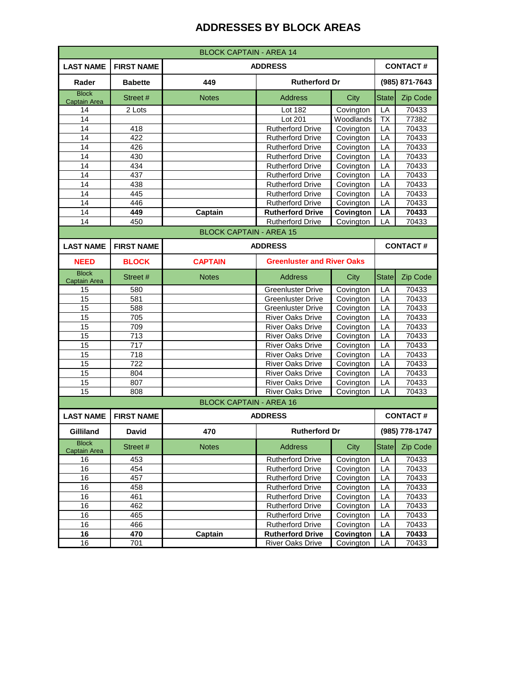| <b>BLOCK CAPTAIN - AREA 14</b>      |                   |                                   |                                   |           |                 |                 |
|-------------------------------------|-------------------|-----------------------------------|-----------------------------------|-----------|-----------------|-----------------|
| <b>LAST NAME</b>                    | <b>FIRST NAME</b> | <b>CONTACT#</b><br><b>ADDRESS</b> |                                   |           |                 |                 |
| Rader                               | <b>Babette</b>    | 449                               | <b>Rutherford Dr</b>              |           |                 | (985) 871-7643  |
| <b>Block</b><br><b>Captain Area</b> | Street #          | <b>Notes</b>                      | <b>Address</b>                    | City      | <b>State</b>    | Zip Code        |
| 14                                  | 2 Lots            |                                   | Lot 182                           | Covington | LA              | 70433           |
| 14                                  |                   |                                   | Lot 201                           | Woodlands | <b>TX</b>       | 77382           |
| 14                                  | 418               |                                   | <b>Rutherford Drive</b>           | Covington | LA              | 70433           |
| 14                                  | 422               |                                   | <b>Rutherford Drive</b>           | Covington | LA              | 70433           |
| 14                                  | 426               |                                   | <b>Rutherford Drive</b>           | Covington | LA              | 70433           |
| 14                                  | 430               |                                   | <b>Rutherford Drive</b>           | Covington | LA              | 70433           |
| 14                                  | 434               |                                   | <b>Rutherford Drive</b>           | Covington | LA              | 70433           |
| 14                                  | 437               |                                   | <b>Rutherford Drive</b>           | Covington | LA              | 70433           |
| 14                                  | 438               |                                   | <b>Rutherford Drive</b>           | Covington | LA              | 70433           |
| 14                                  | 445               |                                   | <b>Rutherford Drive</b>           | Covington | LA              | 70433           |
| 14                                  | 446               |                                   | <b>Rutherford Drive</b>           | Covington | LA              | 70433           |
| 14                                  | 449               | Captain                           | <b>Rutherford Drive</b>           | Covington | LA              | 70433           |
| 14                                  | 450               |                                   | <b>Rutherford Drive</b>           | Covington | LA              | 70433           |
|                                     |                   | <b>BLOCK CAPTAIN - AREA 15</b>    |                                   |           |                 |                 |
| <b>LAST NAME</b>                    | <b>FIRST NAME</b> |                                   | <b>ADDRESS</b>                    |           | <b>CONTACT#</b> |                 |
| <b>NEED</b>                         | <b>BLOCK</b>      | <b>CAPTAIN</b>                    | <b>Greenluster and River Oaks</b> |           |                 |                 |
| <b>Block</b><br><b>Captain Area</b> | Street #          | <b>Notes</b>                      | <b>Address</b>                    | City      | <b>State</b>    | Zip Code        |
| 15                                  | 580               |                                   | <b>Greenluster Drive</b>          | Covington | LA              | 70433           |
| 15                                  | 581               |                                   | Greenluster Drive                 | Covington | LA              | 70433           |
| 15                                  | 588               |                                   | <b>Greenluster Drive</b>          | Covington | LA              | 70433           |
| 15                                  | 705               |                                   | <b>River Oaks Drive</b>           | Covington | LA              | 70433           |
| 15                                  | 709               |                                   | <b>River Oaks Drive</b>           | Covington | LA              | 70433           |
| 15                                  | 713               |                                   | <b>River Oaks Drive</b>           | Covington | LA              | 70433           |
| 15                                  | 717               |                                   | <b>River Oaks Drive</b>           | Covington | LA              | 70433           |
| 15                                  | 718               |                                   | <b>River Oaks Drive</b>           | Covington | LA              | 70433           |
| 15                                  | 722               |                                   | <b>River Oaks Drive</b>           | Covington | LA              | 70433           |
| 15                                  | 804               |                                   | <b>River Oaks Drive</b>           | Covington | LA              | 70433           |
| 15                                  | 807               |                                   | <b>River Oaks Drive</b>           | Covington | LA              | 70433           |
| $\overline{15}$                     | 808               |                                   | <b>River Oaks Drive</b>           | Covington | LA              | 70433           |
|                                     |                   | <b>BLOCK CAPTAIN - AREA 16</b>    |                                   |           |                 |                 |
| <b>LAST NAME</b>                    | <b>FIRST NAME</b> |                                   | <b>ADDRESS</b>                    |           |                 | <b>CONTACT#</b> |
| Gilliland                           | <b>David</b>      | 470                               | <b>Rutherford Dr</b>              |           |                 | (985) 778-1747  |
| <b>Block</b><br>Captain Area        | Street #          | <b>Notes</b>                      | <b>Address</b>                    | City      | <b>State</b>    | Zip Code        |
| 16                                  | 453               |                                   | <b>Rutherford Drive</b>           | Covington | LA              | 70433           |
| 16                                  | 454               |                                   | <b>Rutherford Drive</b>           | Covington | LA              | 70433           |
| 16                                  | 457               |                                   | <b>Rutherford Drive</b>           | Covington | LA              | 70433           |
| 16                                  | 458               |                                   | <b>Rutherford Drive</b>           | Covington | LA              | 70433           |
| 16                                  | 461               |                                   | <b>Rutherford Drive</b>           | Covington | LA              | 70433           |
| 16                                  | 462               |                                   | <b>Rutherford Drive</b>           | Covington | LA              | 70433           |
| 16                                  | 465               |                                   | <b>Rutherford Drive</b>           | Covington | LA              | 70433           |
| 16                                  | 466               |                                   | <b>Rutherford Drive</b>           | Covington | LA              | 70433           |
| 16                                  | 470               | Captain                           | <b>Rutherford Drive</b>           | Covington | LA              | 70433           |
| 16                                  | 701               |                                   | <b>River Oaks Drive</b>           | Covington | LA              | 70433           |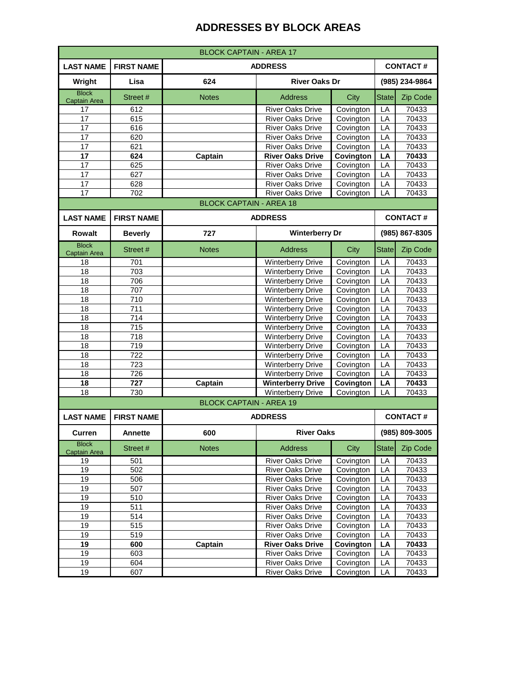| <b>BLOCK CAPTAIN - AREA 17</b> |                                                        |                                |                          |           |                 |                 |  |
|--------------------------------|--------------------------------------------------------|--------------------------------|--------------------------|-----------|-----------------|-----------------|--|
| <b>LAST NAME</b>               | <b>CONTACT#</b><br><b>FIRST NAME</b><br><b>ADDRESS</b> |                                |                          |           |                 |                 |  |
| Wright                         | Lisa                                                   | 624                            | <b>River Oaks Dr</b>     |           |                 | (985) 234-9864  |  |
| <b>Block</b><br>Captain Area   | Street #                                               | <b>Notes</b>                   | <b>Address</b>           | City      | <b>State</b>    | Zip Code        |  |
| 17                             | 612                                                    |                                | <b>River Oaks Drive</b>  | Covington | LA              | 70433           |  |
| 17                             | 615                                                    |                                | <b>River Oaks Drive</b>  | Covington | LA              | 70433           |  |
| 17                             | 616                                                    |                                | <b>River Oaks Drive</b>  | Covington | LA              | 70433           |  |
| 17                             | 620                                                    |                                | <b>River Oaks Drive</b>  | Covington | LA              | 70433           |  |
| 17                             | 621                                                    |                                | <b>River Oaks Drive</b>  | Covington | LA              | 70433           |  |
| 17                             | 624                                                    | Captain                        | <b>River Oaks Drive</b>  | Covington | LA              | 70433           |  |
| 17                             | 625                                                    |                                | <b>River Oaks Drive</b>  | Covington | LA              | 70433           |  |
| 17                             | 627                                                    |                                | <b>River Oaks Drive</b>  | Covington | LA              | 70433           |  |
| 17                             | 628                                                    |                                | <b>River Oaks Drive</b>  | Covington | LA              | 70433           |  |
| $\overline{17}$                | 702                                                    |                                | <b>River Oaks Drive</b>  | Covington | LA              | 70433           |  |
|                                |                                                        | <b>BLOCK CAPTAIN - AREA 18</b> |                          |           |                 |                 |  |
| <b>LAST NAME</b>               | <b>FIRST NAME</b>                                      |                                | <b>ADDRESS</b>           |           | <b>CONTACT#</b> |                 |  |
| <b>Rowalt</b>                  | <b>Beverly</b>                                         | 727                            | <b>Winterberry Dr</b>    |           | (985) 867-8305  |                 |  |
| <b>Block</b><br>Captain Area   | Street #                                               | <b>Notes</b>                   | <b>Address</b>           | City      | <b>State</b>    | Zip Code        |  |
| 18                             | 701                                                    |                                | <b>Winterberry Drive</b> | Covington | LA              | 70433           |  |
| 18                             | 703                                                    |                                | <b>Winterberry Drive</b> | Covington | LA              | 70433           |  |
| 18                             | 706                                                    |                                | <b>Winterberry Drive</b> | Covington | LA              | 70433           |  |
| 18                             | 707                                                    |                                | <b>Winterberry Drive</b> | Covington | LA              | 70433           |  |
| 18                             | 710                                                    |                                | <b>Winterberry Drive</b> | Covington | LA              | 70433           |  |
| 18                             | 711                                                    |                                | <b>Winterberry Drive</b> | Covington | LA              | 70433           |  |
| 18                             | 714                                                    |                                | <b>Winterberry Drive</b> | Covington | LA              | 70433           |  |
| 18                             | 715                                                    |                                | <b>Winterberry Drive</b> | Covington | LA              | 70433           |  |
| 18                             | 718                                                    |                                | <b>Winterberry Drive</b> | Covington | LA              | 70433           |  |
| 18                             | 719                                                    |                                | <b>Winterberry Drive</b> | Covington | LA              | 70433           |  |
| 18                             | 722                                                    |                                | <b>Winterberry Drive</b> | Covington | LA              | 70433           |  |
| 18                             | 723                                                    |                                | <b>Winterberry Drive</b> | Covington | LA              | 70433           |  |
| 18                             | 726                                                    |                                | <b>Winterberry Drive</b> | Covington | LA              | 70433           |  |
| 18                             | 727                                                    | Captain                        | <b>Winterberry Drive</b> | Covington | LA              | 70433           |  |
| 18                             | 730                                                    |                                | <b>Winterberry Drive</b> | Covington | LA              | 70433           |  |
|                                |                                                        | <b>BLOCK CAPTAIN - AREA 19</b> |                          |           |                 |                 |  |
| <b>LAST NAME</b>               | <b>FIRST NAME</b>                                      |                                | <b>ADDRESS</b>           |           |                 | <b>CONTACT#</b> |  |
| <b>Curren</b>                  | <b>Annette</b>                                         | 600                            | <b>River Oaks</b>        |           |                 | (985) 809-3005  |  |
| <b>Block</b><br>Captain Area   | Street #                                               | <b>Notes</b>                   | <b>Address</b>           | City      | <b>State</b>    | Zip Code        |  |
| 19                             | 501                                                    |                                | <b>River Oaks Drive</b>  | Covington | LA              | 70433           |  |
| 19                             | 502                                                    |                                | <b>River Oaks Drive</b>  | Covington | LA              | 70433           |  |
| 19                             | 506                                                    |                                | <b>River Oaks Drive</b>  | Covington | LA              | 70433           |  |
| 19                             | 507                                                    |                                | <b>River Oaks Drive</b>  | Covington | LA              | 70433           |  |
| 19                             | 510                                                    |                                | <b>River Oaks Drive</b>  | Covington | LA              | 70433           |  |
| 19                             | 511                                                    |                                | River Oaks Drive         | Covington | LA              | 70433           |  |
| 19                             | 514                                                    |                                | <b>River Oaks Drive</b>  | Covington | LA              | 70433           |  |
| 19                             | 515                                                    |                                | <b>River Oaks Drive</b>  | Covington | LA              | 70433           |  |
| 19                             | 519                                                    |                                | <b>River Oaks Drive</b>  | Covington | LA              | 70433           |  |
| 19                             | 600                                                    | Captain                        | <b>River Oaks Drive</b>  | Covington | LA              | 70433           |  |
| 19                             | 603                                                    |                                | <b>River Oaks Drive</b>  | Covington | LA              | 70433           |  |
| 19                             | 604                                                    |                                | <b>River Oaks Drive</b>  | Covington | LA              | 70433           |  |
| 19                             | 607                                                    |                                | <b>River Oaks Drive</b>  | Covington | LA              | 70433           |  |